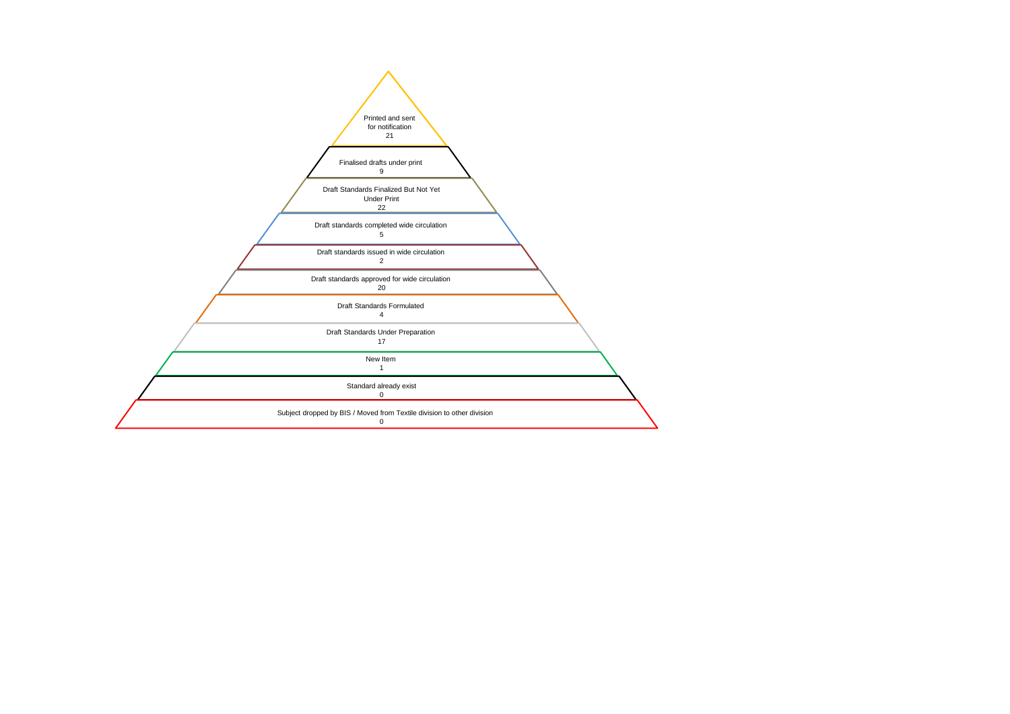